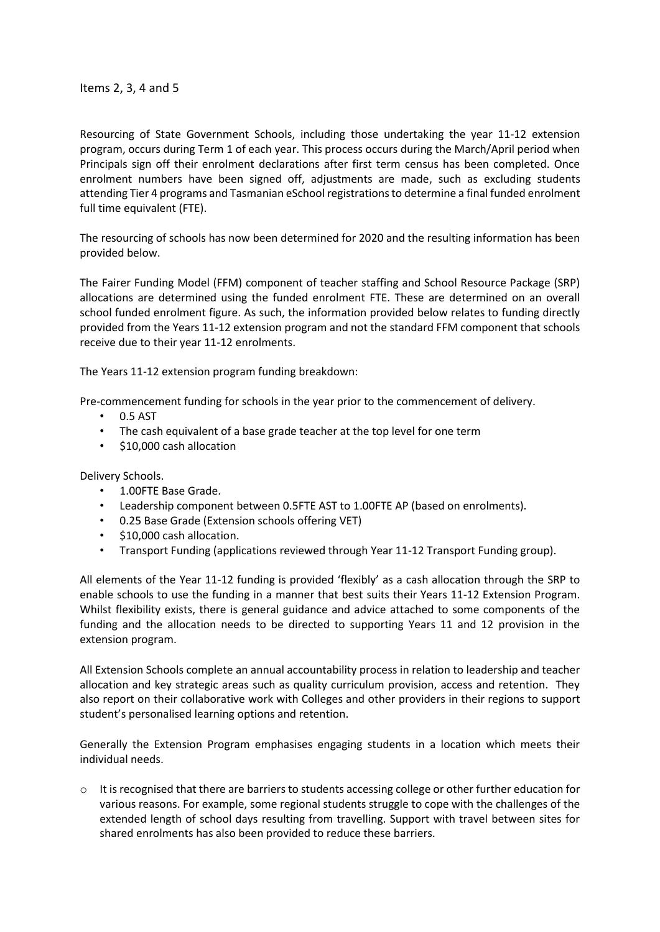Items 2, 3, 4 and 5

Resourcing of State Government Schools, including those undertaking the year 11-12 extension program, occurs during Term 1 of each year. This process occurs during the March/April period when Principals sign off their enrolment declarations after first term census has been completed. Once enrolment numbers have been signed off, adjustments are made, such as excluding students attending Tier 4 programs and Tasmanian eSchool registrations to determine a final funded enrolment full time equivalent (FTE).

The resourcing of schools has now been determined for 2020 and the resulting information has been provided below.

The Fairer Funding Model (FFM) component of teacher staffing and School Resource Package (SRP) allocations are determined using the funded enrolment FTE. These are determined on an overall school funded enrolment figure. As such, the information provided below relates to funding directly provided from the Years 11-12 extension program and not the standard FFM component that schools receive due to their year 11-12 enrolments.

The Years 11-12 extension program funding breakdown:

Pre-commencement funding for schools in the year prior to the commencement of delivery.

- 0.5 AST
- The cash equivalent of a base grade teacher at the top level for one term
- \$10,000 cash allocation

Delivery Schools.

- 1.00FTE Base Grade.
- Leadership component between 0.5FTE AST to 1.00FTE AP (based on enrolments).
- 0.25 Base Grade (Extension schools offering VET)
- \$10,000 cash allocation.
- Transport Funding (applications reviewed through Year 11-12 Transport Funding group).

All elements of the Year 11-12 funding is provided 'flexibly' as a cash allocation through the SRP to enable schools to use the funding in a manner that best suits their Years 11-12 Extension Program. Whilst flexibility exists, there is general guidance and advice attached to some components of the funding and the allocation needs to be directed to supporting Years 11 and 12 provision in the extension program.

All Extension Schools complete an annual accountability process in relation to leadership and teacher allocation and key strategic areas such as quality curriculum provision, access and retention. They also report on their collaborative work with Colleges and other providers in their regions to support student's personalised learning options and retention.

Generally the Extension Program emphasises engaging students in a location which meets their individual needs.

 $\circ$  It is recognised that there are barriers to students accessing college or other further education for various reasons. For example, some regional students struggle to cope with the challenges of the extended length of school days resulting from travelling. Support with travel between sites for shared enrolments has also been provided to reduce these barriers.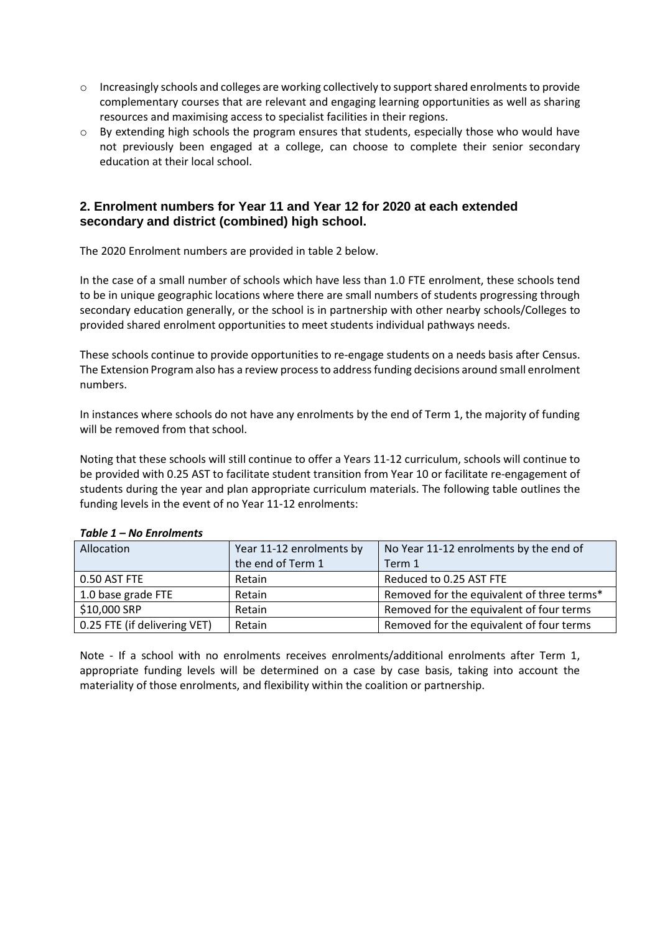- o Increasingly schools and colleges are working collectively to support shared enrolments to provide complementary courses that are relevant and engaging learning opportunities as well as sharing resources and maximising access to specialist facilities in their regions.
- $\circ$  By extending high schools the program ensures that students, especially those who would have not previously been engaged at a college, can choose to complete their senior secondary education at their local school.

### **2. Enrolment numbers for Year 11 and Year 12 for 2020 at each extended secondary and district (combined) high school.**

The 2020 Enrolment numbers are provided in table 2 below.

In the case of a small number of schools which have less than 1.0 FTE enrolment, these schools tend to be in unique geographic locations where there are small numbers of students progressing through secondary education generally, or the school is in partnership with other nearby schools/Colleges to provided shared enrolment opportunities to meet students individual pathways needs.

These schools continue to provide opportunities to re-engage students on a needs basis after Census. The Extension Program also has a review process to address funding decisions around small enrolment numbers.

In instances where schools do not have any enrolments by the end of Term 1, the majority of funding will be removed from that school.

Noting that these schools will still continue to offer a Years 11-12 curriculum, schools will continue to be provided with 0.25 AST to facilitate student transition from Year 10 or facilitate re-engagement of students during the year and plan appropriate curriculum materials. The following table outlines the funding levels in the event of no Year 11-12 enrolments:

| Allocation                   | Year 11-12 enrolments by | No Year 11-12 enrolments by the end of     |  |  |
|------------------------------|--------------------------|--------------------------------------------|--|--|
|                              | the end of Term 1        | Term 1                                     |  |  |
| 0.50 AST FTE                 | Retain                   | Reduced to 0.25 AST FTE                    |  |  |
| 1.0 base grade FTE           | Retain                   | Removed for the equivalent of three terms* |  |  |
| \$10,000 SRP                 | Retain                   | Removed for the equivalent of four terms   |  |  |
| 0.25 FTE (if delivering VET) | Retain                   | Removed for the equivalent of four terms   |  |  |

#### *Table 1 – No Enrolments*

Note - If a school with no enrolments receives enrolments/additional enrolments after Term 1, appropriate funding levels will be determined on a case by case basis, taking into account the materiality of those enrolments, and flexibility within the coalition or partnership.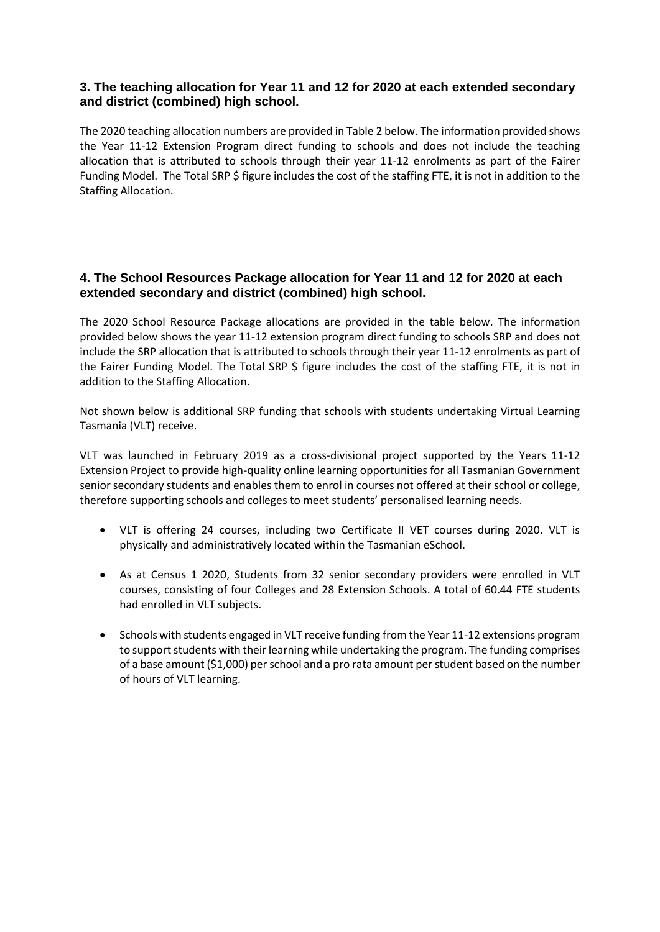### **3. The teaching allocation for Year 11 and 12 for 2020 at each extended secondary and district (combined) high school.**

The 2020 teaching allocation numbers are provided in Table 2 below. The information provided shows the Year 11-12 Extension Program direct funding to schools and does not include the teaching allocation that is attributed to schools through their year 11-12 enrolments as part of the Fairer Funding Model. The Total SRP \$ figure includes the cost of the staffing FTE, it is not in addition to the Staffing Allocation.

## **4. The School Resources Package allocation for Year 11 and 12 for 2020 at each extended secondary and district (combined) high school.**

The 2020 School Resource Package allocations are provided in the table below. The information provided below shows the year 11-12 extension program direct funding to schools SRP and does not include the SRP allocation that is attributed to schools through their year 11-12 enrolments as part of the Fairer Funding Model. The Total SRP \$ figure includes the cost of the staffing FTE, it is not in addition to the Staffing Allocation.

Not shown below is additional SRP funding that schools with students undertaking Virtual Learning Tasmania (VLT) receive.

VLT was launched in February 2019 as a cross-divisional project supported by the Years 11-12 Extension Project to provide high-quality online learning opportunities for all Tasmanian Government senior secondary students and enables them to enrol in courses not offered at their school or college, therefore supporting schools and colleges to meet students' personalised learning needs.

- VLT is offering 24 courses, including two Certificate II VET courses during 2020. VLT is physically and administratively located within the Tasmanian eSchool.
- As at Census 1 2020, Students from 32 senior secondary providers were enrolled in VLT courses, consisting of four Colleges and 28 Extension Schools. A total of 60.44 FTE students had enrolled in VLT subjects.
- Schools with students engaged in VLT receive funding from the Year 11-12 extensions program to support students with their learning while undertaking the program. The funding comprises of a base amount (\$1,000) per school and a pro rata amount per student based on the number of hours of VLT learning.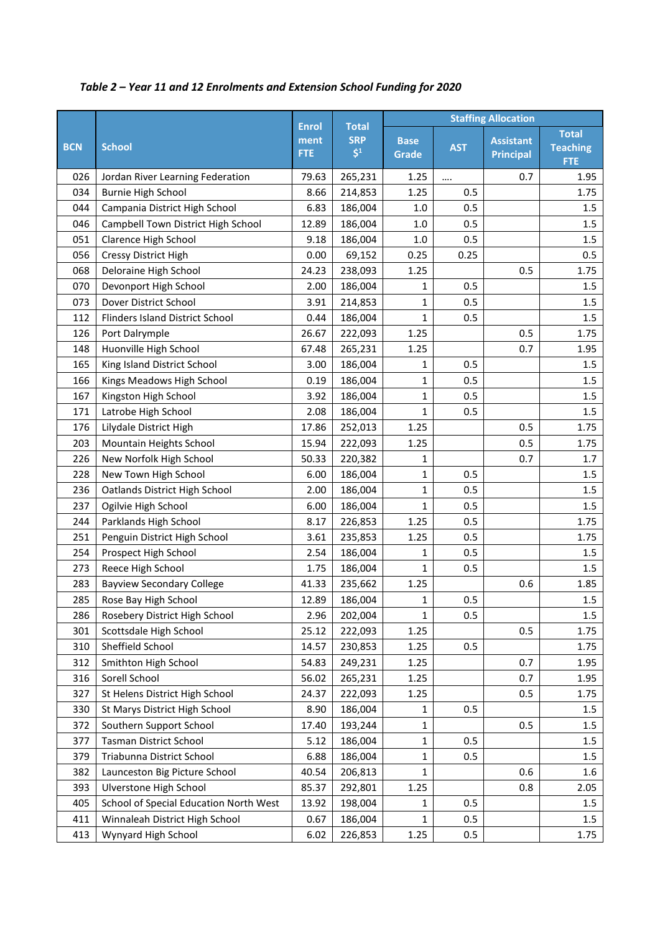|            |                                        |                                    |                                         | <b>Staffing Allocation</b> |            |                                      |                                               |
|------------|----------------------------------------|------------------------------------|-----------------------------------------|----------------------------|------------|--------------------------------------|-----------------------------------------------|
| <b>BCN</b> | <b>School</b>                          | <b>Enrol</b><br>ment<br><b>FTE</b> | <b>Total</b><br><b>SRP</b><br>$\zeta^1$ | <b>Base</b><br>Grade       | <b>AST</b> | <b>Assistant</b><br><b>Principal</b> | <b>Total</b><br><b>Teaching</b><br><b>FTE</b> |
| 026        | Jordan River Learning Federation       | 79.63                              | 265,231                                 | 1.25                       |            | 0.7                                  | 1.95                                          |
| 034        | <b>Burnie High School</b>              | 8.66                               | 214,853                                 | 1.25                       | 0.5        |                                      | 1.75                                          |
| 044        | Campania District High School          | 6.83                               | 186,004                                 | $1.0\,$                    | 0.5        |                                      | 1.5                                           |
| 046        | Campbell Town District High School     | 12.89                              | 186,004                                 | 1.0                        | 0.5        |                                      | 1.5                                           |
| 051        | Clarence High School                   | 9.18                               | 186,004                                 | 1.0                        | 0.5        |                                      | 1.5                                           |
| 056        | Cressy District High                   | 0.00                               | 69,152                                  | 0.25                       | 0.25       |                                      | 0.5                                           |
| 068        | Deloraine High School                  | 24.23                              | 238,093                                 | 1.25                       |            | 0.5                                  | 1.75                                          |
| 070        | Devonport High School                  | 2.00                               | 186,004                                 | 1                          | 0.5        |                                      | 1.5                                           |
| 073        | Dover District School                  | 3.91                               | 214,853                                 | 1                          | 0.5        |                                      | 1.5                                           |
| 112        | Flinders Island District School        | 0.44                               | 186,004                                 | $\mathbf 1$                | 0.5        |                                      | 1.5                                           |
| 126        | Port Dalrymple                         | 26.67                              | 222,093                                 | 1.25                       |            | 0.5                                  | 1.75                                          |
| 148        | Huonville High School                  | 67.48                              | 265,231                                 | 1.25                       |            | 0.7                                  | 1.95                                          |
| 165        | King Island District School            | 3.00                               | 186,004                                 | 1                          | 0.5        |                                      | 1.5                                           |
| 166        | Kings Meadows High School              | 0.19                               | 186,004                                 | 1                          | 0.5        |                                      | 1.5                                           |
| 167        | Kingston High School                   | 3.92                               | 186,004                                 | 1                          | 0.5        |                                      | 1.5                                           |
| 171        | Latrobe High School                    | 2.08                               | 186,004                                 | 1                          | 0.5        |                                      | $1.5\,$                                       |
| 176        | Lilydale District High                 | 17.86                              | 252,013                                 | 1.25                       |            | 0.5                                  | 1.75                                          |
| 203        | Mountain Heights School                | 15.94                              | 222,093                                 | 1.25                       |            | 0.5                                  | 1.75                                          |
| 226        | New Norfolk High School                | 50.33                              | 220,382                                 | 1                          |            | 0.7                                  | 1.7                                           |
| 228        | New Town High School                   | 6.00                               | 186,004                                 | 1                          | 0.5        |                                      | 1.5                                           |
| 236        | Oatlands District High School          | 2.00                               | 186,004                                 | $\mathbf{1}$               | 0.5        |                                      | 1.5                                           |
| 237        | Ogilvie High School                    | 6.00                               | 186,004                                 | 1                          | 0.5        |                                      | 1.5                                           |
| 244        | Parklands High School                  | 8.17                               | 226,853                                 | 1.25                       | 0.5        |                                      | 1.75                                          |
| 251        | Penguin District High School           | 3.61                               | 235,853                                 | 1.25                       | 0.5        |                                      | 1.75                                          |
| 254        | Prospect High School                   | 2.54                               | 186,004                                 | 1                          | 0.5        |                                      | 1.5                                           |
| 273        | Reece High School                      | 1.75                               | 186,004                                 | 1                          | 0.5        |                                      | 1.5                                           |
| 283        | <b>Bayview Secondary College</b>       | 41.33                              | 235,662                                 | 1.25                       |            | 0.6                                  | 1.85                                          |
| 285        | Rose Bay High School                   | 12.89                              | 186,004                                 | $\mathbf{1}$               | 0.5        |                                      | 1.5                                           |
| 286        | Rosebery District High School          | 2.96                               | 202,004                                 | 1                          | 0.5        |                                      | $1.5\,$                                       |
| 301        | Scottsdale High School                 | 25.12                              | 222,093                                 | 1.25                       |            | 0.5                                  | 1.75                                          |
| 310        | Sheffield School                       | 14.57                              | 230,853                                 | 1.25                       | 0.5        |                                      | 1.75                                          |
| 312        | Smithton High School                   | 54.83                              | 249,231                                 | 1.25                       |            | 0.7                                  | 1.95                                          |
| 316        | Sorell School                          | 56.02                              | 265,231                                 | 1.25                       |            | 0.7                                  | 1.95                                          |
| 327        | St Helens District High School         | 24.37                              | 222,093                                 | 1.25                       |            | 0.5                                  | 1.75                                          |
| 330        | St Marys District High School          | 8.90                               | 186,004                                 | 1                          | 0.5        |                                      | 1.5                                           |
| 372        | Southern Support School                | 17.40                              | 193,244                                 | 1                          |            | 0.5                                  | 1.5                                           |
| 377        | Tasman District School                 | 5.12                               | 186,004                                 | 1                          | 0.5        |                                      | 1.5                                           |
| 379        | Triabunna District School              | 6.88                               | 186,004                                 | 1                          | 0.5        |                                      | 1.5                                           |
| 382        | Launceston Big Picture School          | 40.54                              | 206,813                                 | 1                          |            | 0.6                                  | $1.6\,$                                       |
| 393        | Ulverstone High School                 | 85.37                              | 292,801                                 | 1.25                       |            | 0.8                                  | 2.05                                          |
| 405        | School of Special Education North West | 13.92                              | 198,004                                 | 1                          | 0.5        |                                      | 1.5                                           |
| 411        | Winnaleah District High School         | 0.67                               | 186,004                                 | 1                          | 0.5        |                                      | 1.5                                           |
| 413        | Wynyard High School                    | 6.02                               | 226,853                                 | 1.25                       | 0.5        |                                      | 1.75                                          |

# *Table 2 – Year 11 and 12 Enrolments and Extension School Funding for 2020*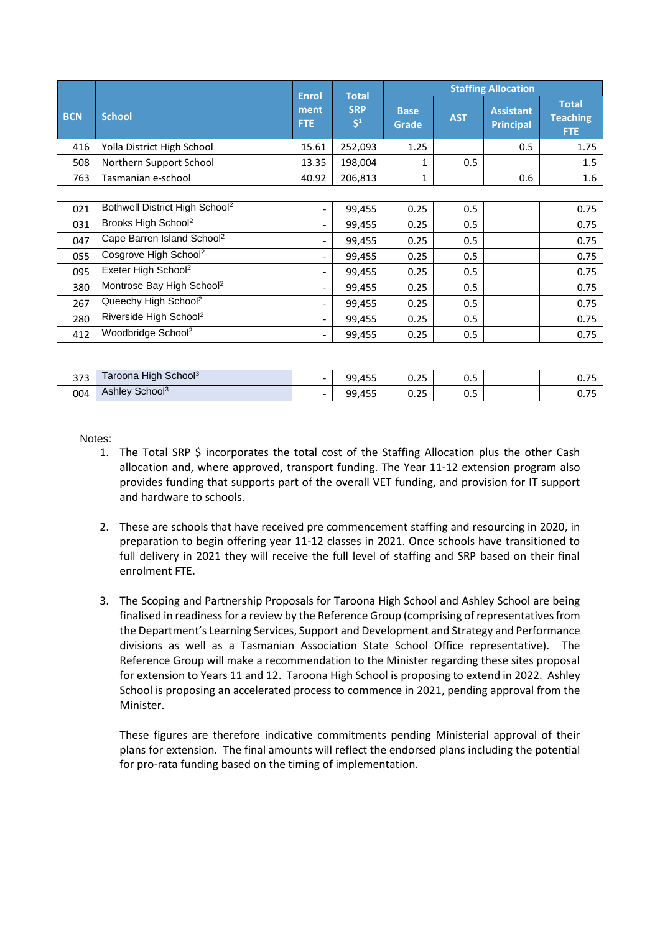|            |                                            |                              |                                         |                             |            | <b>Staffing Allocation</b>           |                                         |
|------------|--------------------------------------------|------------------------------|-----------------------------------------|-----------------------------|------------|--------------------------------------|-----------------------------------------|
| <b>BCN</b> | <b>School</b>                              | <b>Enrol</b><br>ment<br>FTE. | <b>Total</b><br><b>SRP</b><br>$\zeta^1$ | <b>Base</b><br><b>Grade</b> | <b>AST</b> | <b>Assistant</b><br><b>Principal</b> | <b>Total</b><br><b>Teaching</b><br>FTE. |
| 416        | Yolla District High School                 | 15.61                        | 252,093                                 | 1.25                        |            | 0.5                                  | 1.75                                    |
| 508        | Northern Support School                    | 13.35                        | 198,004                                 | 1                           | 0.5        |                                      | 1.5                                     |
| 763        | Tasmanian e-school                         | 40.92                        | 206,813                                 | 1                           |            | 0.6                                  | 1.6                                     |
|            |                                            |                              |                                         |                             |            |                                      |                                         |
| 021        | Bothwell District High School <sup>2</sup> | $\overline{\phantom{a}}$     | 99,455                                  | 0.25                        | 0.5        |                                      | 0.75                                    |
| 031        | Brooks High School <sup>2</sup>            | $\overline{\phantom{a}}$     | 99,455                                  | 0.25                        | 0.5        |                                      | 0.75                                    |
| 047        | Cape Barren Island School <sup>2</sup>     | $\overline{\phantom{a}}$     | 99,455                                  | 0.25                        | 0.5        |                                      | 0.75                                    |
| 055        | Cosgrove High School <sup>2</sup>          | $\overline{\phantom{a}}$     | 99,455                                  | 0.25                        | 0.5        |                                      | 0.75                                    |
| 095        | Exeter High School <sup>2</sup>            | $\overline{\phantom{a}}$     | 99,455                                  | 0.25                        | 0.5        |                                      | 0.75                                    |
| 380        | Montrose Bay High School <sup>2</sup>      | $\overline{\phantom{a}}$     | 99,455                                  | 0.25                        | 0.5        |                                      | 0.75                                    |
| 267        | Queechy High School <sup>2</sup>           | $\qquad \qquad -$            | 99,455                                  | 0.25                        | 0.5        |                                      | 0.75                                    |
| 280        | Riverside High School <sup>2</sup>         | $\overline{\phantom{a}}$     | 99,455                                  | 0.25                        | 0.5        |                                      | 0.75                                    |
| 412        | Woodbridge School <sup>2</sup>             | $\overline{\phantom{a}}$     | 99,455                                  | 0.25                        | 0.5        |                                      | 0.75                                    |

| 272<br>J / J | <b>High</b><br>School <sup>3</sup><br>aroona | $\overline{\phantom{0}}$ | 99,455 | $\sim$ $-$<br>∪.∠J    | <u>n r</u><br>U.J | $- -$<br><b>v.,</b> |
|--------------|----------------------------------------------|--------------------------|--------|-----------------------|-------------------|---------------------|
| 004          | School <sup>3</sup><br>Ashlev                | $\overline{\phantom{0}}$ | 99,455 | $\sim$ $\sim$<br>∪.∠J | n r<br>υ.υ        | $- -$<br>. J        |

Notes:

- 1. The Total SRP \$ incorporates the total cost of the Staffing Allocation plus the other Cash allocation and, where approved, transport funding. The Year 11-12 extension program also provides funding that supports part of the overall VET funding, and provision for IT support and hardware to schools.
- 2. These are schools that have received pre commencement staffing and resourcing in 2020, in preparation to begin offering year 11-12 classes in 2021. Once schools have transitioned to full delivery in 2021 they will receive the full level of staffing and SRP based on their final enrolment FTE.
- 3. The Scoping and Partnership Proposals for Taroona High School and Ashley School are being finalised in readiness for a review by the Reference Group (comprising of representatives from the Department's Learning Services, Support and Development and Strategy and Performance divisions as well as a Tasmanian Association State School Office representative). The Reference Group will make a recommendation to the Minister regarding these sites proposal for extension to Years 11 and 12. Taroona High School is proposing to extend in 2022. Ashley School is proposing an accelerated process to commence in 2021, pending approval from the Minister.

These figures are therefore indicative commitments pending Ministerial approval of their plans for extension. The final amounts will reflect the endorsed plans including the potential for pro-rata funding based on the timing of implementation.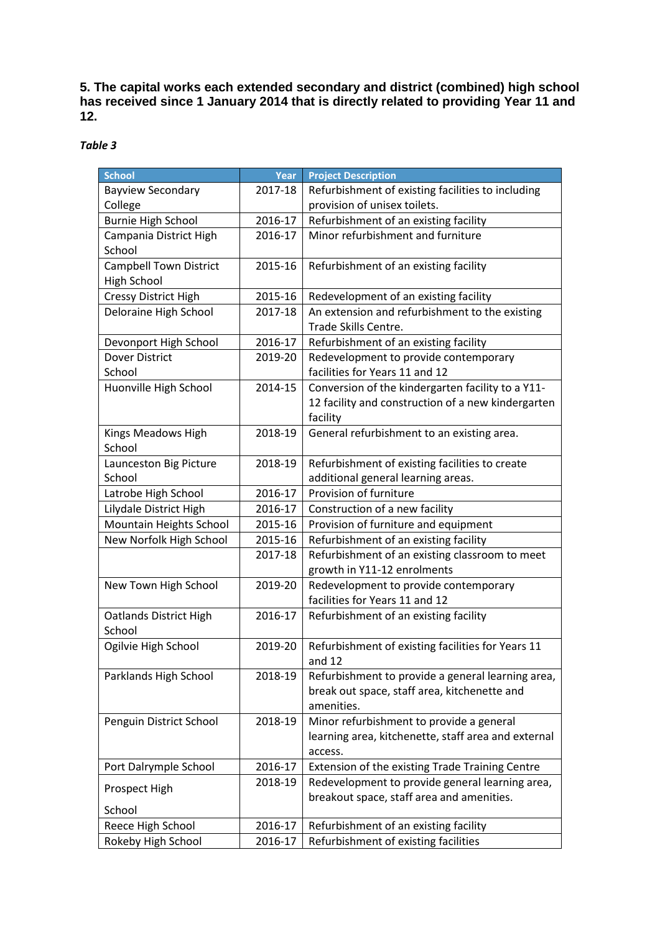**5. The capital works each extended secondary and district (combined) high school has received since 1 January 2014 that is directly related to providing Year 11 and 12.** 

*Table 3*

| <b>School</b>                 | Year    | <b>Project Description</b>                          |
|-------------------------------|---------|-----------------------------------------------------|
| <b>Bayview Secondary</b>      | 2017-18 | Refurbishment of existing facilities to including   |
| College                       |         | provision of unisex toilets.                        |
| <b>Burnie High School</b>     | 2016-17 | Refurbishment of an existing facility               |
| Campania District High        | 2016-17 | Minor refurbishment and furniture                   |
| School                        |         |                                                     |
| <b>Campbell Town District</b> | 2015-16 | Refurbishment of an existing facility               |
| <b>High School</b>            |         |                                                     |
| <b>Cressy District High</b>   | 2015-16 | Redevelopment of an existing facility               |
| Deloraine High School         | 2017-18 | An extension and refurbishment to the existing      |
|                               |         | Trade Skills Centre.                                |
| Devonport High School         | 2016-17 | Refurbishment of an existing facility               |
| <b>Dover District</b>         | 2019-20 | Redevelopment to provide contemporary               |
| School                        |         | facilities for Years 11 and 12                      |
| Huonville High School         | 2014-15 | Conversion of the kindergarten facility to a Y11-   |
|                               |         | 12 facility and construction of a new kindergarten  |
|                               |         | facility                                            |
| Kings Meadows High            | 2018-19 | General refurbishment to an existing area.          |
| School                        |         |                                                     |
| Launceston Big Picture        | 2018-19 | Refurbishment of existing facilities to create      |
| School                        |         | additional general learning areas.                  |
| Latrobe High School           | 2016-17 | Provision of furniture                              |
| Lilydale District High        | 2016-17 | Construction of a new facility                      |
| Mountain Heights School       | 2015-16 | Provision of furniture and equipment                |
| New Norfolk High School       | 2015-16 | Refurbishment of an existing facility               |
|                               | 2017-18 | Refurbishment of an existing classroom to meet      |
|                               |         | growth in Y11-12 enrolments                         |
| New Town High School          | 2019-20 | Redevelopment to provide contemporary               |
|                               |         | facilities for Years 11 and 12                      |
| <b>Oatlands District High</b> | 2016-17 | Refurbishment of an existing facility               |
| School                        |         |                                                     |
| Ogilvie High School           | 2019-20 | Refurbishment of existing facilities for Years 11   |
|                               |         | and $12$                                            |
| Parklands High School         | 2018-19 | Refurbishment to provide a general learning area,   |
|                               |         | break out space, staff area, kitchenette and        |
|                               |         | amenities.                                          |
| Penguin District School       | 2018-19 | Minor refurbishment to provide a general            |
|                               |         | learning area, kitchenette, staff area and external |
|                               |         | access.                                             |
| Port Dalrymple School         | 2016-17 | Extension of the existing Trade Training Centre     |
| Prospect High                 | 2018-19 | Redevelopment to provide general learning area,     |
| School                        |         | breakout space, staff area and amenities.           |
| Reece High School             | 2016-17 | Refurbishment of an existing facility               |
|                               | 2016-17 |                                                     |
| Rokeby High School            |         | Refurbishment of existing facilities                |